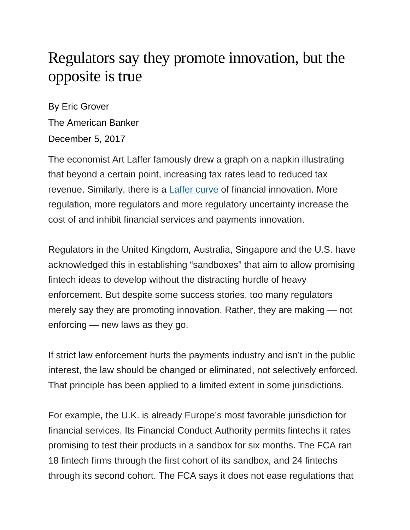## Regulators say they promote innovation, but the opposite is true

By Eric Grover The American Banker December 5, 2017

The economist Art Laffer famously drew a graph on a napkin illustrating that beyond a certain point, increasing tax rates lead to reduced tax revenue. Similarly, there is a [Laffer curve](https://www.investopedia.com/terms/l/laffercurve.asp) of financial innovation. More regulation, more regulators and more regulatory uncertainty increase the cost of and inhibit financial services and payments innovation.

Regulators in the United Kingdom, Australia, Singapore and the U.S. have acknowledged this in establishing "sandboxes" that aim to allow promising fintech ideas to develop without the distracting hurdle of heavy enforcement. But despite some success stories, too many regulators merely say they are promoting innovation. Rather, they are making — not enforcing — new laws as they go.

If strict law enforcement hurts the payments industry and isn't in the public interest, the law should be changed or eliminated, not selectively enforced. That principle has been applied to a limited extent in some jurisdictions.

For example, the U.K. is already Europe's most favorable jurisdiction for financial services. Its Financial Conduct Authority permits fintechs it rates promising to test their products in a sandbox for six months. The FCA ran 18 fintech firms through the first cohort of its sandbox, and 24 fintechs through its second cohort. The FCA says it does not ease regulations that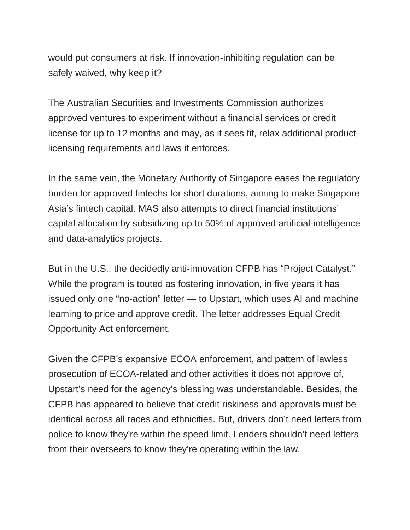would put consumers at risk. If innovation-inhibiting regulation can be safely waived, why keep it?

The Australian Securities and Investments Commission authorizes approved ventures to experiment without a financial services or credit license for up to 12 months and may, as it sees fit, relax additional productlicensing requirements and laws it enforces.

In the same vein, the Monetary Authority of Singapore eases the regulatory burden for approved fintechs for short durations, aiming to make Singapore Asia's fintech capital. MAS also attempts to direct financial institutions' capital allocation by subsidizing up to 50% of approved artificial-intelligence and data-analytics projects.

But in the U.S., the decidedly anti-innovation CFPB has "Project Catalyst." While the program is touted as fostering innovation, in five years it has issued only one "no-action" letter — to Upstart, which uses AI and machine learning to price and approve credit. The letter addresses Equal Credit Opportunity Act enforcement.

Given the CFPB's expansive ECOA enforcement, and pattern of lawless prosecution of ECOA-related and other activities it does not approve of, Upstart's need for the agency's blessing was understandable. Besides, the CFPB has appeared to believe that credit riskiness and approvals must be identical across all races and ethnicities. But, drivers don't need letters from police to know they're within the speed limit. Lenders shouldn't need letters from their overseers to know they're operating within the law.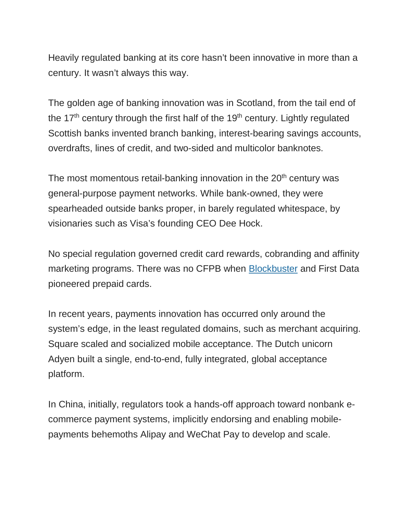Heavily regulated banking at its core hasn't been innovative in more than a century. It wasn't always this way.

The golden age of banking innovation was in Scotland, from the tail end of the  $17<sup>th</sup>$  century through the first half of the  $19<sup>th</sup>$  century. Lightly regulated Scottish banks invented branch banking, interest-bearing savings accounts, overdrafts, lines of credit, and two-sided and multicolor banknotes.

The most momentous retail-banking innovation in the  $20<sup>th</sup>$  century was general-purpose payment networks. While bank-owned, they were spearheaded outside banks proper, in barely regulated whitespace, by visionaries such as Visa's founding CEO Dee Hock.

No special regulation governed credit card rewards, cobranding and affinity marketing programs. There was no CFPB when [Blockbuster](https://www.smithsonianmag.com/smart-news/the-gift-card-was-invented-by-blockbuster-in-1994-180948191/) and First Data pioneered prepaid cards.

In recent years, payments innovation has occurred only around the system's edge, in the least regulated domains, such as merchant acquiring. Square scaled and socialized mobile acceptance. The Dutch unicorn Adyen built a single, end-to-end, fully integrated, global acceptance platform.

In China, initially, regulators took a hands-off approach toward nonbank ecommerce payment systems, implicitly endorsing and enabling mobilepayments behemoths Alipay and WeChat Pay to develop and scale.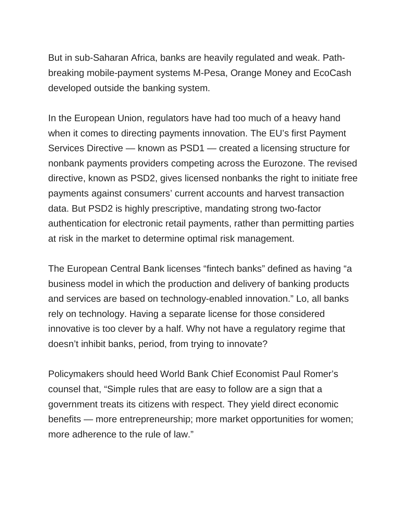But in sub-Saharan Africa, banks are heavily regulated and weak. Pathbreaking mobile-payment systems M-Pesa, Orange Money and EcoCash developed outside the banking system.

In the European Union, regulators have had too much of a heavy hand when it comes to directing payments innovation. The EU's first Payment Services Directive — known as PSD1 — created a licensing structure for nonbank payments providers competing across the Eurozone. The revised directive, known as PSD2, gives licensed nonbanks the right to initiate free payments against consumers' current accounts and harvest transaction data. But PSD2 is highly prescriptive, mandating strong two-factor authentication for electronic retail payments, rather than permitting parties at risk in the market to determine optimal risk management.

The European Central Bank licenses "fintech banks" defined as having "a business model in which the production and delivery of banking products and services are based on technology-enabled innovation." Lo, all banks rely on technology. Having a separate license for those considered innovative is too clever by a half. Why not have a regulatory regime that doesn't inhibit banks, period, from trying to innovate?

Policymakers should heed World Bank Chief Economist Paul Romer's counsel that, "Simple rules that are easy to follow are a sign that a government treats its citizens with respect. They yield direct economic benefits — more entrepreneurship; more market opportunities for women; more adherence to the rule of law."